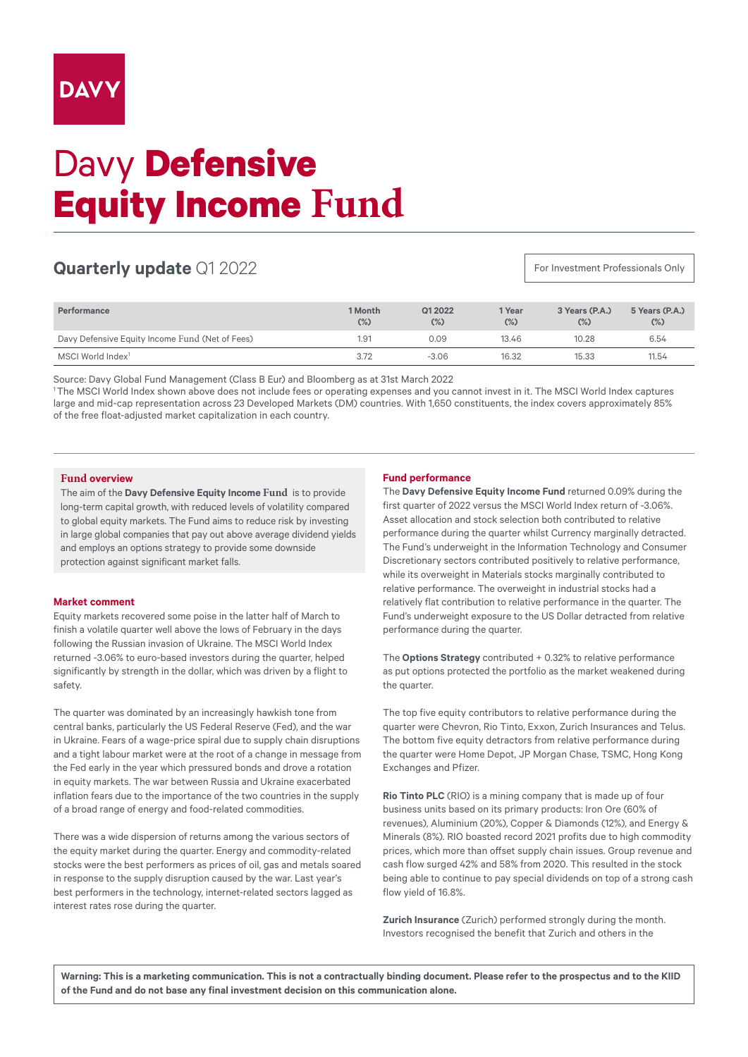# Davy **Defensive Equity Income Fund**

# **Quarterly update** Q1 2022

For Investment Professionals Only

| Performance                                     | 1 Month<br>$(\%)$ | Q1 2022<br>$(\%)$ | 1 Year<br>$(\%)$ | 3 Years (P.A.)<br>$(\%)$ | 5 Years (P.A.)<br>$(\%)$ |
|-------------------------------------------------|-------------------|-------------------|------------------|--------------------------|--------------------------|
| Davy Defensive Equity Income Fund (Net of Fees) | 1.91              | 0.09              | 13.46            | 10.28                    | 6.54                     |
| MSCI World Index <sup>1</sup>                   | 3.72              | $-3.06$           | 16.32            | 15.33                    | 11.54                    |

Source: Davy Global Fund Management (Class B Eur) and Bloomberg as at 31st March 2022

1 The MSCI World Index shown above does not include fees or operating expenses and you cannot invest in it. The MSCI World Index captures large and mid-cap representation across 23 Developed Markets (DM) countries. With 1,650 constituents, the index covers approximately 85% of the free float-adjusted market capitalization in each country.

## **Fund overview**

The aim of the **Davy Defensive Equity Income Fund** is to provide long-term capital growth, with reduced levels of volatility compared to global equity markets. The Fund aims to reduce risk by investing in large global companies that pay out above average dividend yields and employs an options strategy to provide some downside protection against significant market falls.

## **Market comment**

Equity markets recovered some poise in the latter half of March to finish a volatile quarter well above the lows of February in the days following the Russian invasion of Ukraine. The MSCI World Index returned -3.06% to euro-based investors during the quarter, helped significantly by strength in the dollar, which was driven by a flight to safety.

The quarter was dominated by an increasingly hawkish tone from central banks, particularly the US Federal Reserve (Fed), and the war in Ukraine. Fears of a wage-price spiral due to supply chain disruptions and a tight labour market were at the root of a change in message from the Fed early in the year which pressured bonds and drove a rotation in equity markets. The war between Russia and Ukraine exacerbated inflation fears due to the importance of the two countries in the supply of a broad range of energy and food-related commodities.

There was a wide dispersion of returns among the various sectors of the equity market during the quarter. Energy and commodity-related stocks were the best performers as prices of oil, gas and metals soared in response to the supply disruption caused by the war. Last year's best performers in the technology, internet-related sectors lagged as interest rates rose during the quarter.

#### **Fund performance**

The **Davy Defensive Equity Income Fund** returned 0.09% during the first quarter of 2022 versus the MSCI World Index return of -3.06%. Asset allocation and stock selection both contributed to relative performance during the quarter whilst Currency marginally detracted. The Fund's underweight in the Information Technology and Consumer Discretionary sectors contributed positively to relative performance, while its overweight in Materials stocks marginally contributed to relative performance. The overweight in industrial stocks had a relatively flat contribution to relative performance in the quarter. The Fund's underweight exposure to the US Dollar detracted from relative performance during the quarter.

The **Options Strategy** contributed + 0.32% to relative performance as put options protected the portfolio as the market weakened during the quarter.

The top five equity contributors to relative performance during the quarter were Chevron, Rio Tinto, Exxon, Zurich Insurances and Telus. The bottom five equity detractors from relative performance during the quarter were Home Depot, JP Morgan Chase, TSMC, Hong Kong Exchanges and Pfizer.

**Rio Tinto PLC** (RIO) is a mining company that is made up of four business units based on its primary products: Iron Ore (60% of revenues), Aluminium (20%), Copper & Diamonds (12%), and Energy & Minerals (8%). RIO boasted record 2021 profits due to high commodity prices, which more than offset supply chain issues. Group revenue and cash flow surged 42% and 58% from 2020. This resulted in the stock being able to continue to pay special dividends on top of a strong cash flow yield of 16.8%.

**Zurich Insurance** (Zurich) performed strongly during the month. Investors recognised the benefit that Zurich and others in the

**Warning: This is a marketing communication. This is not a contractually binding document. Please refer to the prospectus and to the KIID of the Fund and do not base any final investment decision on this communication alone.**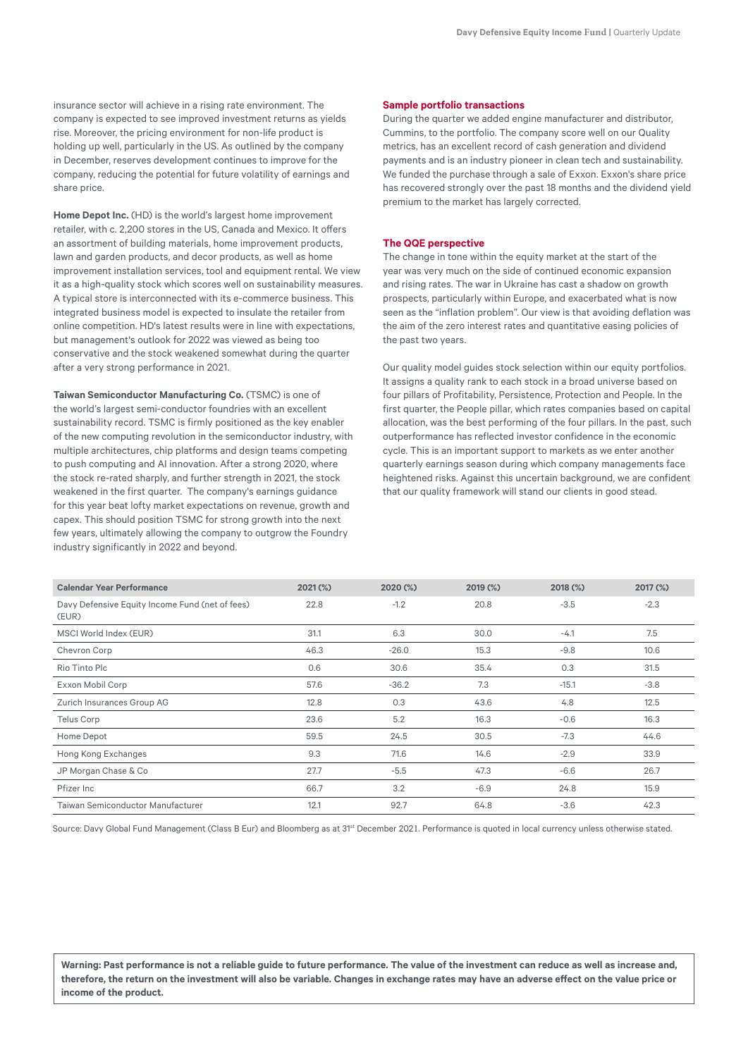insurance sector will achieve in a rising rate environment. The company is expected to see improved investment returns as yields rise. Moreover, the pricing environment for non-life product is holding up well, particularly in the US. As outlined by the company in December, reserves development continues to improve for the company, reducing the potential for future volatility of earnings and share price.

**Home Depot Inc.** (HD) is the world's largest home improvement retailer, with c. 2,200 stores in the US, Canada and Mexico. It offers an assortment of building materials, home improvement products, lawn and garden products, and decor products, as well as home improvement installation services, tool and equipment rental. We view it as a high-quality stock which scores well on sustainability measures. A typical store is interconnected with its e-commerce business. This integrated business model is expected to insulate the retailer from online competition. HD's latest results were in line with expectations, but management's outlook for 2022 was viewed as being too conservative and the stock weakened somewhat during the quarter after a very strong performance in 2021.

**Taiwan Semiconductor Manufacturing Co.** (TSMC) is one of the world's largest semi-conductor foundries with an excellent sustainability record. TSMC is firmly positioned as the key enabler of the new computing revolution in the semiconductor industry, with multiple architectures, chip platforms and design teams competing to push computing and AI innovation. After a strong 2020, where the stock re-rated sharply, and further strength in 2021, the stock weakened in the first quarter. The company's earnings guidance for this year beat lofty market expectations on revenue, growth and capex. This should position TSMC for strong growth into the next few years, ultimately allowing the company to outgrow the Foundry industry significantly in 2022 and beyond.

#### **Sample portfolio transactions**

During the quarter we added engine manufacturer and distributor, Cummins, to the portfolio. The company score well on our Quality metrics, has an excellent record of cash generation and dividend payments and is an industry pioneer in clean tech and sustainability. We funded the purchase through a sale of Exxon. Exxon's share price has recovered strongly over the past 18 months and the dividend yield premium to the market has largely corrected.

#### **The QQE perspective**

The change in tone within the equity market at the start of the year was very much on the side of continued economic expansion and rising rates. The war in Ukraine has cast a shadow on growth prospects, particularly within Europe, and exacerbated what is now seen as the "inflation problem". Our view is that avoiding deflation was the aim of the zero interest rates and quantitative easing policies of the past two years.

Our quality model guides stock selection within our equity portfolios. It assigns a quality rank to each stock in a broad universe based on four pillars of Profitability, Persistence, Protection and People. In the first quarter, the People pillar, which rates companies based on capital allocation, was the best performing of the four pillars. In the past, such outperformance has reflected investor confidence in the economic cycle. This is an important support to markets as we enter another quarterly earnings season during which company managements face heightened risks. Against this uncertain background, we are confident that our quality framework will stand our clients in good stead.

| <b>Calendar Year Performance</b>                         | $2021$ (%) | 2020 (%) | 2019 (%) | 2018 (%) | 2017 (%) |
|----------------------------------------------------------|------------|----------|----------|----------|----------|
| Davy Defensive Equity Income Fund (net of fees)<br>(EUR) | 22.8       | $-1.2$   | 20.8     | $-3.5$   | $-2.3$   |
| MSCI World Index (EUR)                                   | 31.1       | 6.3      | 30.0     | $-4.1$   | 7.5      |
| Chevron Corp                                             | 46.3       | $-26.0$  | 15.3     | $-9.8$   | 10.6     |
| Rio Tinto Plc                                            | 0.6        | 30.6     | 35.4     | 0.3      | 31.5     |
| Exxon Mobil Corp                                         | 57.6       | $-36.2$  | 7.3      | $-15.1$  | $-3.8$   |
| Zurich Insurances Group AG                               | 12.8       | 0.3      | 43.6     | 4.8      | 12.5     |
| Telus Corp                                               | 23.6       | 5.2      | 16.3     | $-0.6$   | 16.3     |
| Home Depot                                               | 59.5       | 24.5     | 30.5     | $-7.3$   | 44.6     |
| Hong Kong Exchanges                                      | 9.3        | 71.6     | 14.6     | $-2.9$   | 33.9     |
| JP Morgan Chase & Co                                     | 27.7       | $-5.5$   | 47.3     | $-6.6$   | 26.7     |
| Pfizer Inc                                               | 66.7       | 3.2      | $-6.9$   | 24.8     | 15.9     |
| <b>Taiwan Semiconductor Manufacturer</b>                 | 12.1       | 92.7     | 64.8     | $-3.6$   | 42.3     |

Source: Davy Global Fund Management (Class B Eur) and Bloomberg as at 31<sup>st</sup> December 2021. Performance is quoted in local currency unless otherwise stated.

**Warning: Past performance is not a reliable guide to future performance. The value of the investment can reduce as well as increase and, therefore, the return on the investment will also be variable. Changes in exchange rates may have an adverse effect on the value price or income of the product.**